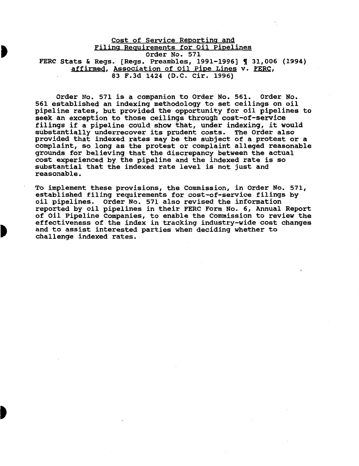Cost of Service Reporting and Filing Requirements for Oil Pipelines Order No. 571 FERC Stats & Regs. [Regs. Preambles, 1991-1996] ¶ 31,006 (1994) affirmed, Association of Oil Pipe Lines v. FERC, 83 F.3d 1424 (D.C. Cir. 1996)

Order No. 571 is a companion to Order No. 561. Order No. 561 established an indexing methodology to set ceilings on oil pipeline rates, but provided the opportunity for oil pipelines to seek an exception to those ceilings through cost-of-service filings if a pipeline could show that, under indexing, it would substantially underrecover its prudent costs. The Order also provided that indexed rates may be the subject of a protest or a complaint, so long as the protest or complaint alleged reasonable grounds for believing that the discrepancy between the actual cost experienced by the pipeline and the indexed rate is so substantial that the indexed rate level is not just and reasonable.

To implement these provisions, the Commission, in Order No. 571, established filing requirements for cost-of-service filings by oil pipelines. Order No. 571 also revised the information reported by oil pipelines in their FERC Form No. 6, Annual Report of Oil Pipeline Companies, to enable the Commission to review the effectiveness of the index in tracking industry-wide cost changes and to assist interested parties when deciding whether to challenge indexed rates.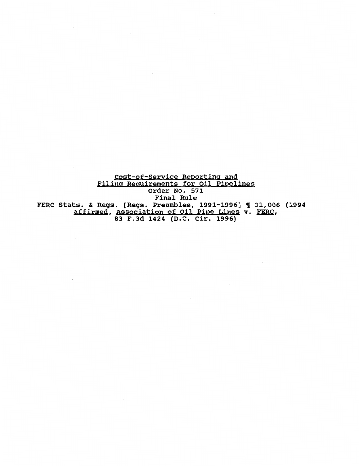Cost-of-Service Reporting and Filing Requirements for Oil Pipelines order No. 571 Final Rule FERC Stats. & Regs. [Regs. Preambles, 1991-1996] 1 31,006 (1994 affirmed, Association of Oil Pipe Lines v. FERC, 83 F.3d 1424 (D.C. Cir. 1996)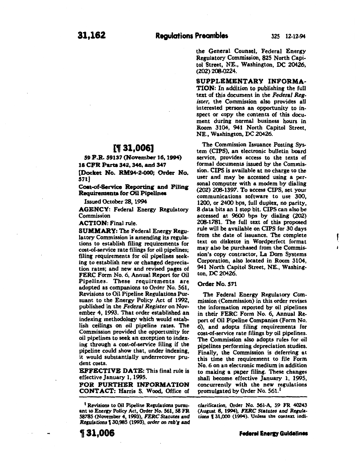f

the General Counsel, Federal Energy Regulatory Commission, 825 North Capitol Street, NE., Washington, DC 20426,  $(202)$   $208-0224$ .

SUPPLEMENTARY INFORMA-TION: In addition to publishing the full text of this document in the *Federal Register,* the Commission also provides all interested persons an opportunity to inspect or copy the contents of this document during normal business hours in Room 3104, 941 North Capitol Street, NE., Washington, DC 20426.

The Commission Issuance Posting System (CIPS), an electronic bulletin board service, provides access to the texts of formal documents issued by the Commission. CIPS is available at no charge to the user and may be accessed using a personal computer with a modem by dialing (202) 2(6.1397. To access CIPS, set your communications software to use 300, 1200, or 2400 bps, full duplex, no parity, 8 data bits an 1 stop bit. CIPS can also be accessed at 9600 bps by dialing (202) 208-1781. The full text of this proposed rule will be available on CIPS for 30 days from the date of issuance. The complete text on diskette in Wordperfect format may also be purchased from the Commission's copy contractor, La Dom Systems Corporation, also located in Room 3104, 941 North Capitol Street, NE., Washington, DC 20426.

# Order No. 571

The Federal Energy Regulatory Commission (Commission) in this order revises the information reported by oil pipelines in their FERC Form No.6, Annual Report of Oil Pipeline Companies (Form No. 6), and adopts filing requirements for cost-of-service rate filings by oil pipelines. The Commission also adopts rules for oil pipelines performing depreciation studies. Finally, the Commission is deferring at this time the requirement to file Form No. *6* on an electronic medium in addition to making a paper filing. These changes shall become effective January 1, 1995, concurrently with the new regulations promulgated by Order No. 561.<sup>1</sup>

*clarification,* Order No. 561-A, *59* FR 40243 (Ausust 8, 1994), *FERC Statutes* and *Rerufa·*  tions 131,000 (1994). Unless the context indi-

# nJ 31,oO&l

59 P.R. 59137 (November 16, 1994) 18 CPR Parts 342, 346, and 347

[Docket No. RM94-2-GOO; Order No. 571)

Coat-of-service Reporting and Filing **Requirements for Oil Pipelines** 

Issued October 28, 1994

AGENCY: Federal Energy Regulatory Commission

ACTION: Final rule.

SUMMARY: The Federal Energy Regulatory Commission is amending its regulations to establish filing requirements for cost-of-service rate filings for oil pipelines; filing requirements for oil pipelines seeking to establish new or changed depreciation rates; and new and revised pages of FERC Form No. 6, Annual Report for Oil Pipelines. These requirements are adopted as companions to Order No. 561, Revisions to Oil Pipeline Regulations Pursuant to the Energy Policy Act of 1992, published in the *Federal Register* on November 4, 1993. That order established an indexing methodology which would establish ceilings on oil pipeline rates. The Commission provided the opportunity for oil pipelines to seek an exception to indexing through a cost-of-service filing if the pipeline could show that, under indexing, it would substantially underrecover prudent costs.

EFFECTIVE DATE: This final rule is effective January 1, 1995.

FOR FURTHER INFORMATION CONTACT: Harris S. Wood, Office of

1( 31,006

<sup>&</sup>lt;sup>1</sup> Revisions to Oil Pipeline Regulations pursuant to Energy Policy Act, Order No. 561, 58 FR 58785 (November *4,* 1993), *FERC* Statutes and *Regulations* f 30,985 (1993), *order on* reb~ and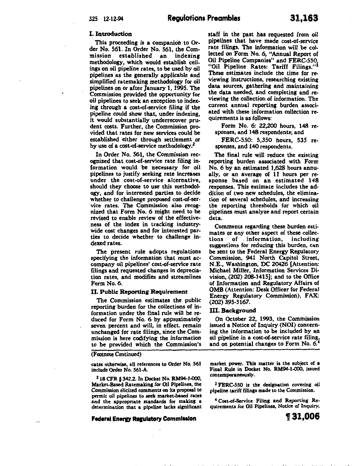#### I. Introduction

This proceeding is a companion to Order No. 561. In Order No. 561, the Commission established. an indexing methodology, which would establish ceilings on oil pipeline rates, to be used by oil pipelines as the generally applicable and simplified ratemaking methodology for oil pipelines on or after January 1, 1995. The Commission provided the opportunity for oil pipelines to seek an exception to indexing through a cost-of-service filing if the pipeline could show that, under indexing, it would substantially underrecover prudent costs. Further, the Commission provided that rates for new services could be established either through settlement or by use of a cost-of-service methodology.<sup>2</sup>

In Order No. 561, the Commission recognized that cost-of-service rate filing information would be necessary for oil pipelines to justify seeking rate increases under the cost-of-service alternative, should they choose to use this methodology, and for interested parties to decide whether to challenge proposed cost-of-service rates. The Commission also recognized that Form No.6 might need to be revised to enable review of the effectiveness of the index in tracking industrywide cost changes and for interested parties to decide whether to challenge indexed rates.

The present rule adopts regulations specifying the information that must accompany oil pipelines' cost-of-service rate filings and requested changes in depreciation rates, and modifies and streamlines Form No.6.

## II. Public Reporting Requirement

The Commission estimates the public reporting burden for the collections of information under the final rule will be reduced for Form No. 6 by approximately seven percent and will, in effect, remain unchanged for rate filings, since the Commission is here codifying the information to be provided which the Commission's

(Footnote Continued)

cates otherwise, all references to Order No. 561 include Order No. 561-A.

z 18 CFR § 342.2. In Docket No. RM94-1-000, Market-Based Ratemakins for Oil Pipelines, the Commission elicited comments on its proposal to permit oil pipelines to seek market-based rates and the appropriate standards for making a determination that a pipeline lacks significant

**Federal Energy Regulatory Commission** 

staff in the past has requested from oil pipelines that have made cost-of-service rate filings. The information will be collected on Form No. 6, "Annual Report of Oil Pipeline Companies" and FERC-550 "Oil Pipeline Rates: Tariff Filings."<sup>3</sup> These estimates include the time for reviewing instructions, researching existing data sources, gathering and maintaining the data needed, and completing and reviewing the collection of information. The current annual reporting burden associated with these information collection requirements is as follows:

Form No. 6: 22,200 hours, 148 responses, and 148 respondents; and

FERC-550: 5,350 hours, 535 responses, and 140 respondents.

The final rule will reduce the existing reporting burden associated with Form No.6 by an estimated 1,628 hours annually, or an average of 11 hours per response based on an estimated 148 responses. This estimate includes the addition of two new schedules, the elimination of several schedules, and increasing the reporting thresholds for which oil pipelines must analyze and report certain data.

Comments regarding these burden esti· mates or any other aspect of these collections of . information, including suggestions for reducing this burden, can be sent to the Federal Energy Regulatory Commission, 941 North Capitol Street, N.E., Washington, DC 20426 [Attention: Michael Miller, Information Services Di· vision,  $(202)$  208-1415]; and to the Office of Information and Regulatory Affairs of OMB (Attention: Desk Officer for Federal Energy Regulatory Commission), FAX: (202) 395-5167. .

#### III. Background

On October 22, 1993, the Commission issued a Notice of Inquiry (NOI) concerning the information to be included by an oil pipeline in a cost-of-service rate filing, and on potential changes to Form No. 6.

market power. This matter is the subject of a Final Rule in Docket No. RM94-1-000, issued contemporaneously.

<sup>3</sup> FERC-550 is the designation covering oil pipeline tariff filings made to the Commission.

4 Coat-of-Service Filing and Reporting Requirements for Oil Pipelines, Notice of Inquiry,

**t31,006** 

.<br>I do seu carre de la carregula del control de la carrella.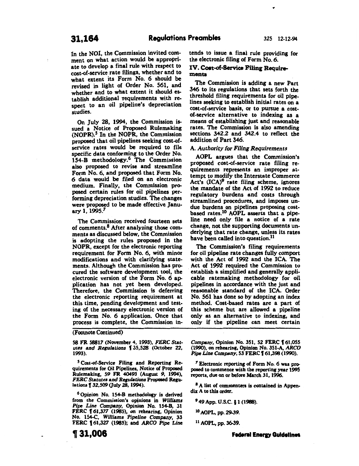In the NOI, the Commission invited com· ment on what action would be appropriate to develop a final rule with respect to cost-of-service rate filings, whether and to what extent its Form No. 6 should be revised in light of Order No. 561, and whether and to what extent it should establish additional requirements with respect to an oil pipeline's depreciation studies.

On July 28, 1994, the Commission issued a Notice of Proposed Rulemaking  $(NOPR).$ <sup>5</sup> In the NOPR, the Commission proposed that oil pipelines seeking cost-ofservice rates would be required to file specific data conforming to the Order No. 154-B methodology.6 The Commission also proposed to revise and streamline Form No. 6, and proposed that Form No. 6 data would be filed on an electronic medium. Finally, the Commission proposed certain rules for oil pipelines performing depreciation studies. The changes were proposed to be made effective January 1, 1995.7

The Commission received fourteen sets of comments.<sup>8</sup> After analyzing those comments as discussed below, the Commission is adopting the rules proposed in the NOPR, except for the electronic reporting requirement for Form No. 6, with minor modifications and with clarifying statements. Although the Commission has procured the software development tool, the electronic version of the Form No. 6 application has not yet been developed. Therefore, the Commission is deferring the electronic reporting requirement at this time, pending development and test· ing of the necessary electronic version of the Form No. 6 application. Once that process is complete, the Commission in-

(Footnote Continued)

*S8* FR 58817 (November 4, 1993), *FERC Stat· utes and Replations* f 35,528 (October 22, 1993).

5 Cost-of-Service Filing and Reporting Requirements for Oil Pipelines, Notice of Proposed Rulemaking, 59 FR 40493 (August 9, 1994), **FERC Statutes and Regulations Proposed Regu**lations **f** 32,509 (July 28, 1994).

<sup>6</sup> Opinion No. 154-B methodology is derived from the Commission's opinions in *Willisms Pipe Line Company,* Opinion No. 154-B, 31 FERC 161,377 (1985), on rehearing, Opinion No. 154-C, *Williams Pipeline* Company, 33 FERC f 61,327 (1985); and *ARCO Pipe Line*  tends to issue a final rule providing for the electronic filing of Form No.6.

# IV. Coet-of-8ervice Fling Requirementa

The Commission is adding a new Part 346 to its regulations that sets forth the threshold filing requirements for oil pipelines seeking to establish initial rates on a cost-of-service basis, or to pursue a costof-service alternative to indexing as a means of establishing just and reasonable rates. The Commission is also amending sections 342.2 and 342.4 to reflect the addition of Part 346.

## A. *Authority for Filing Requirements*

AOPL argues that the Commission's proposed cost-of-service rate filing requirements represents an improper attempt to modify the Interstate Commerce Act's  $(ICA)^9$  rate filing scheme, ignores the mandate of the Act of 1992 to reduce regulatory burdens and costs through streamlined procedures, and imposes undue burdens on pipelines proposing cost· based rates.<sup>10</sup> AOPL asserts that a pipeline need only file a notice of a rate change, not the supporting documents underlying that rate change, unless its rates have been called into question.<sup>11</sup>

The Commission's filing requirements for oil pipeline rate changes fully comport with the Act of 1992 and the ICA. The Act of 1992 required the Commission to establish a simplified and generally appli· cable ratemaking methodology for oil pipelines in accordance with the just and reasonable standard of the ICA. Order No. 561 has done so by adopting an index method. Cost-based rates are a part of this scheme but are allowed a pipeline only as an alternative to indexing, and only if the pipeline can meet certain

Company, Opinion No. 351, 52 FERC **161.055** (1990), on rehearing, Opinion No. 351-A, *ARCO Pipe* Line *Company,* 53 FERC f 61,398 (1990).

7 Electronic reporting of Form No. 6 was proposed to commence with the reporting year 1995 reports, due on or before March 31, 1996.

<sup>8</sup> A list of commenters is contained in Appendix A to this order.

9 49 App. U.S.C. §1 (1988).

10 AOPL, pp. 29-39.

11 AOPL, pp. 36-39.

,31,006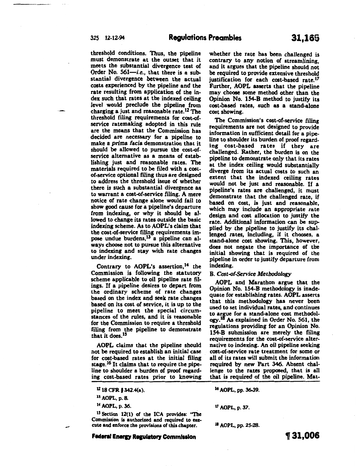threshold conditions. Thus, the pipeline must demonstrate at the outset that it meets the substantial divergence test of Order No.  $561$ -i.e., that there is a substantial divergence between the actual costs experienced by the pipeline and the rate resulting from application of the index such that rates at the indexed ceiling level would preclude the pipeline from charging a just and reasonable rate.12 The threshold filing requirements for cost-ofservice ratemaking adopted in this rule are the means that the Commission has decided are necessary for a pipeline to make a *prima* facia demonstration that it should be allowed to pursue the cost-ofservice alternative as a means of establishing just and reasonable rates. The materials required to be filed with a costof-service optional filing thus are designed to address the threshold issue of whether there is such a substantial divergence as to warrant a cost-of-service filing. A mere notice of rate change alone would fail to show good cause for a pipeline's departure from indexing, or why it should be allowed to change its rates outside the basic indexing scheme. As to AOPL's claim that the cost-of-service filing requirements impose undue burdens,<sup>13</sup> a pipeline can always choose not to pursue this alternative to indexing and stay with rate changes under indexing.

Contrary to AOPL's assertion,<sup>14</sup> the Commission is following the statutory scheme applicable to oil pipeline rate filings. If a pipeline desires to depart from the ordinary scheme of rate changes based on the index and seek rate changes based on its cost of service, it is up to the pipeline to meet the special circumstances of the rules, and it is reasonable for the Commission to require a threshold filing from the pipeline to demonstrate that it does.15

AOPL claims that the pipeline should not be required to establish an initial case for cost-based rates at the initial filing stage.<sup>16</sup> It claims that to require the pipeline to shoulder a burden of proof regarding cost-based rates prior to knowing

<sup>13</sup>AOPL, p. 8.

14 AOPL, p. 36.

-

<sup>15</sup> Section 12(1) of the ICA provides: "The Commission is authorized and required to execute and enforce the provisions of this chapter.

**Federal Energy Regulatory Commission** 

whether the rate has been challenged is contrary to any notion of streamlining, and it argues that the pipeline should not be required to provide extensive threshold justification for each cost-based rate.<sup>17</sup> Further, AOPL asserts that the pipeline may choose some method other than the Opinion No. 154-B method to justify its cost-based rates, such as a stand-alone cost showing.

The Commission's cost-of-service filing requirements are not designed to provide information in sufficient detail for a pipeline to shoulder its burden of proof regarding cost-based rates if they are challenged. Rather, the burden is on the pipeline to demonstrate only that its rates at the index ceiling would substantially diverge from its actual costs to such an extent that the indexed ceiling rates would not be just and reasonable. If a pipeline's rates are challenged, it must demonstrate that the challenged rate, if based on cost, is just and reasonable, which may include an appropriate rate design and cost allocation to justify the rate. Additional information can be supplied by the pipeline to justify its challenged rates, including, if it chooses, a stand-alone cost showing. This, however, does not negate the importance of the initial showing that is required of the pipeline in order to justify departure from indexing.

#### B. *Cost-of-Service Methodology*

AOPL and Marathon argue that the Opinion No. 154-B methodology is inadequate for establishing rates. AOPL asserts that this methodology has never been used to set individual rates, and continues to argue for a stand-alone cost methodol-<br>ogy.<sup>18</sup> As explained in Order No. 561, the regulations providing for an Opinion No. 154-B submission are merely the filing requirements for the cost-of-service alternative to indexing. An oil pipeline seeking cost-of-service rate treatment for some or all of its rates will submit the information required by new Part 346. Absent challenge to the rates proposed, that is all that is required of the oil pipeline. Mat-

16 AOPL, pp. 36-39.

17 AOPL, p. 31.

<sup>18</sup> AOPL, pp. 25-28.

, **31,006** 

 $12$  18 CFR § 342.4(a).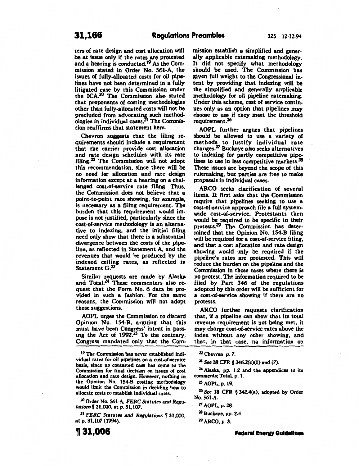ters of rate design and cost allocation will be at issue only if the rates are protested and a hearing is conducted.<sup>19</sup> As the Commission stated in Order No. 561-A, the issues of fully-allocated costs for oil pipelines have not been determined in a fully litigated case by this Commission under the ICA.20 The Commission also stated that proponents of costing methodologies other than fully-allocated costs will not be precluded from advocating such methodologies in individual cases.<sup>21</sup> The Commission reaffirms that statement here.

Chevron suggests that the filing requirements should include a requirement that the carrier provide cost allocation and rate design schedules with its rate filing.<sup>22</sup> The Commission will not adopt this recommendation, since there will be no need for allocation and rate design information except at a hearing on a challenged cost-of-service rate filing. Thus, the Commission does not believe that a point-to-point rate showing, for example, is necessary as a filing requirement. The burden that this requirement would impose is not justified, particularly since the cost-of-service methodology is an alternative to indexing, and the initial filing need only show that there is a substantial divergence between the costs of the pipeline, as reflected in Statement A, and the revenues that would be produced by the indexed ceiling rates, as reflected in Statement G.<sup>23</sup>

Similar requests are made by Alaska and Total.<sup>24</sup> These commenters also request that the Form No. 6 data be provided in such a fashion. For the same reasons, the Commission will not adopt these suggestions.

AOPL urges the Commission to discard Opinion No. 154-B, arguing that this must have been Congress' intent in passing the Act of 1992.25 To the contrary, Congress mandated only that the Com-

19 The Commission has never established individual rates for oil pipelines on a cost-of-service basis, since no contested case has come to the Commission for final decision on issues of cost allocation and rate design. However, nothing in the Opinion No. 154-B costing methodology would limit the Commission in deciding how to allocate costs to establish individual rates.

20 Order No. 561-A, *FERC Statutes and Regulations* f 31,000, at p. *31,107.* 

<sup>21</sup> FERC Statutes and Regulations \[ 31,000, at p. 31,107 (1994).

**t31,006** 

mission establish a simplified and generally applicable ratemaking methodology. It did not specify what methodology should be used. The Commission has given full weight to the Congressional intent by providing that indexing will be the simplified and generally applicable methodology for oil pipeline ratemaking. Under this scheme, cost of service continues only as an option that pipelines may choose to use if they meet the threshold requirement.26

AOPL further argues that pipelines should be allowed to use a variety of methods to justify individual rate changes.27 Buckeye also seeks alternatives to indexing for partly competitive pipelines to use in less competitive markets.<sup>28</sup> These issues are beyond the scope of this rulemaking, but parties are free to make proposals in individual cases.

ARCO seeks clarification of several items. It first asks that the Commission require that pipelines seeking to use a cost-of-service approach file a full systemwide cost-of-service. Protestants then would be required to be specific in their protests.29 The Commission has determined that the Opinion No. 154-B filing will be required for a cost-of-service filing, and that a cost allocation and rate design showing would only be required if the pipeline's rates are protested. This will reduce the burden on the pipeline and the Commission in those cases where there is no protest. The information required to be filed by Part 346 of the regulations adopted by this order will be sufficient for a cost-of-service showing if there are no protests.

ARCO further requests clarification that, if a pipeline can show that its total revenue requirement is not being met, it may charge cost-of-service rates above the index without any other showing, and that, in that case, no information on

zz Chevron, p. *7.* 

23 See 18 CFR § 346.2(c)(1) and (7).

Z4 Alaska, pp. 1-2 and the appendices to its comments; Total, p. 1.

zs AOPL, p. 19.

Z6 See 18 CFR § 342.4(a), adopted by Order No. 561-A

*Z1* AOPL, p. 28.

<sup>28</sup> Buckeye, pp. 2-4.

<sup>29</sup>ARCO, p. 3.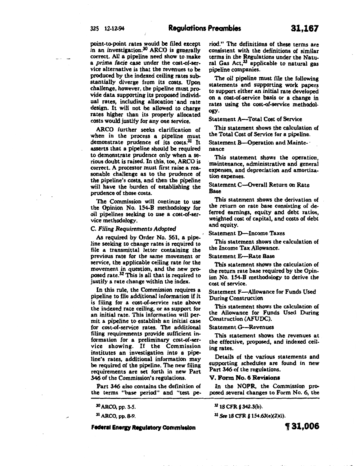point-to-point rates would be filed except in an investigation.<sup>30</sup> ARCO is generally correct. All a pipeline need show to make a prima facie case under the cost-of-service alternative is that the revenues to be produced by the indexed ceiling rates substantially diverge from its costs. Upon challenge, however, the pipeline must provide data supporting its proposed individual rates, including allocation ·and rate design. It will not be allowed to charge rates higher than its properly allocated costs would justify for any one service.

ARCO further seeks clarification of when in the process a pipeline must demonstrate prudence of its costs.31 It asserts that a pipeline should be required to demonstrate prudence only when a serious doubt is raised. In this, too, ARCO is correct. A protestor must first raise a reasonable challenge as to the prudence of the pipeline's costs, and then the pipeline will have the burden of establishing the prudence of those costs.

The Commission will continue to use the Opinion No. 154-B methodology for oil pipelines seeking to use a cost-of-service methodology.

#### C. Filing Requirements Adopted

As required by Order No. 561, a pipeline seeking to change rates is required to file a transmittal letter containing the previous rate for the same movement or service, the applicable ceiling rate for the movement in question, and the new proposed rate.32 This is all that is required to justify a rate change within the index.

In this rule, the Commission requires a pipeline to file additional information if it is filing for a cost-of-service rate above the indexed rate ceiling, or as support for an initial rate. This information will permit a pipeline to establish an initial case for cost-of-service rates. The additional filing requirements provide sufficient information for a preliminary cost-of-service showing. If the Commission institutes an investigation into a pipeline's rates, additional information may be required of the pipeline. The new filing requirements are set forth in new Part 346 of the Commission's regulations.

Part 346 also contains the definition of the terms "base period" and "test pe-

31 ARCO, pp. 8-9.

**Federal Energy Regulatory Commission** 

riod." The definitions of these terms are consistent with the definitions of similar terms in the Regulations under the Natural Gas  $Act<sup>33</sup>$  applicable to natural gas pipeline companies.

The oil pipeline must file the following statements and supporting work papers to support either an initial rate developed on a cost-of-service basis or a change in rates using the cost-of-service methodology.

#### Statement A-Total Cost of Service

This statement shows the calculation of the Total Cost of Service for a pipeline.

# Statement B-Operation and Maintenance

This statement shows the operation, maintenance, administrative and general expenses, and depreciation and amortization expenses.

# Statement C-Overall Return on Rate Base

This statement shows the derivation of the return on rate base consisting of deferred earnings, equity and debt ratios, weighted cost of capital, and costs of debt and equity.

# Statement D-Income Taxes

This statement shows the calculation of the Income Tax Allowance.

#### Statement E-Rate Base

This statement shows the calculation of the return rate base required by the Opinion No. 154-B methodology to derive the cost of service.

# Statement F-Allowance for Funds Used During Construction

This statement shows the calculation of the Allowance for Funds Used During Construction (AFUDC).

# Statement G-Revenues

This statement shows the revenues at the effective, proposed, and indexed ceiling rates.

Details of the various statements and supporting schedules are found in new Part 346 of the regulations.

### V. Form No. 6 Reviaiona

In the NOPR, the Commission proposed several changes to Form No. 6, the

<sup>32</sup> 18 CFR §342.3(b).

33 See 18 CFR § 154.63(e)(2)(i).

j l I if ,.;;f!

<sup>30</sup>ARCO, pp. 3-5.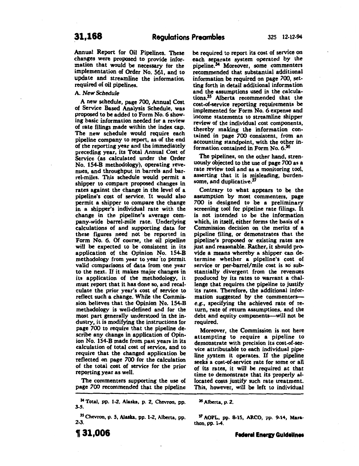Annual Report for Oil Pipelines. These changes were proposed to provide information that would be necessary for the implementation of Order No. 561, and to update and streamline the informatior, required of oil pipelines.

A. *New Schedule* 

A new schedule, page *700,* Annual Cost of Service Based Analysis Schedule, was proposed to be added to Form No; 6 showing basic information needed for a review of rate filings made within the index cap. The new schedule would require each pipeline company to report, as of the end of the reporting year and the immediately preceding year, its Total Annual Cost of Service (as calculated under the Order No. 154-B methodology), operating revenues, and throughput in barrels and barrel-miles. This schedule would permit a shipper to compare proposed changes in rates against the change in the level of a pipeline's cost of service. It would also permit a shipper to compare the change in a shipper's individual rate with the change in the pipeline's average company-wide barrel-mile rate. Underlying calculations of and supporting data for these figures need not be reported in Form No. 6. Of course, the oil pipeline will be expected to be consistent in its application of the Opinion No. 154-B methodology from year to year to permit valid comparisons of data from one year to the next. If it makes major changes in its application of the methodology, it must report that it has done so, and recalculate the prior year's cost of service to reflect such a change. While the Commission believes that the Opinion No. 154-B methodology is well-defined and for the most part generally understood in the industry, it is modifying the instructions for page 700 to require that the pipeline describe any change in application of Opinion No. 154-B made from past years in its calculation of total cost of service, and to require that the changed application be reflected on page 700 for the calculation of the total cost of service for the prior reporting year as well.

The commenters supporting the use of page 700 recommended that the pipeline

34 Total, pp. 1-Z, Alaska, p. Z, Chevron, pp. 3-5.

35 Chevron, p. 5, Alaska, pp. l·Z, Alberta, pp. 2-3.

be required to report its cost of service on each separate system operated by the pipeline.34 Moreover, some commenters recommended that substantial additional information be required on page 700, set· ting forth in detail additional information and the assumptions used in the calculations. 35 Alberta recommended that the cost-of-service reporting requirements be implemented for Form No. *6* expense and income statements to streamline shipper review of the individual cost components, thereby making the information contained in page *700* consistent, from an accounting standpoint, with the other information contained in Form No. 6.36

The pipelines, on the other hand, strenuously objected to the use of page 700 as a rate review tool and as a monitoring tool, asserting that it is misleading, burdensome, and duplicative.37

Contrary to what appears to be the assumption by most commenters, page 700 is designed to be a preliminary screening tool for pipeline rate filings. It is not intended to be the information which, in itself, either forms the basis of a Commission decision on the merits of a pipeline filing, or demonstrates that the pipeline's proposed or existing rates are just and reasonable. Rather, it should provide a means whereby a shipper can de· termine whether a pipeline's cost of service or per-barrel/mile cost is so substantially divergent from the revenues produced by its rates to warrant a challenge that requires the pipeline to justify its rates. Therefore, the additional information suggested by the commenterse.g., specifying the achieved rate of return, rate of return assumptions, and the debt and equity components--will not be required.

Moreover, the Commission is not here attempting to require a pipeline to demonstrate with precision its cost-of-ser· vice attributable to each individual pipe· line system it operates. If the pipeline seeks a cost-of-service rate for some or all of its rates, it will be required at that time to demonstrate that its properly al· located costs justify such rate treatment. This, however, will be left to individual

<sup>36</sup>Alberta, p. z.

37 AOPL, pp. 8-15, ARCO, pp. 9-14, Marathon, pp. 1-4.

**,31,006**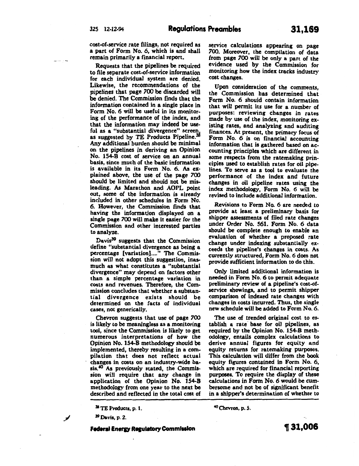cost-of-service rate filings, not required as a part of Form No.6, which is and shall remain primarily a financial report.

Requests that the pipelines be required to file separate cost-of-service information for each individual system are denied. Likewise, the recommendations of the pipelines that page 700 be discarded will be denied. The Commission finds that the information contained in a single place in Form No.6 will be useful in its monitoring of the performance of the index, and that the information may indeed be useful as a "substantial divergence" screen, as suggested by TE Products Pipeline.<sup>3</sup> Any additional burden should be minimal on the pipelines in deriving an Opinion No. 154-B cost of service on an annual basis, since much of the basic information is available in its Form No. 6. As explained above, the use of the page 700 should be limited and should not be misleading. As Marathon and AOPL point out, some of the information is already included in other schedules in Form No. 6. However, the Commission finds that having the information displayed on a single page *700* will make it easier for the Commission and other interested parties to analyze.

Davis<sup>39</sup> suggests that the Commission define "substantial divergence as being a percentage [variation]...." The Commission will not adopt this suggestion, inasmuch as what constitutes a "substantial divergence" may depend on factors other than a simple percentage variation in costs and revenues. Therefore, the Commission concludes that whether a substantial divergence exists should be determined on the facts of individual cases, not generically.

Chevron suggests that use of page *700*  is likely to be meaningless as a monitoring tool, since the Commission is likely to get numerous interpretations of how the Opinion No. 154-B methodology should be implemented, thereby resulting in a compilation that does not reflect actual changes in costs on an industry-wide basis.40 As previously stated, the Commission will require that any change in application of the Opinion No. 154-B methodology from one year to the next be described and reflected in the total cost of

38TE Products, p. 1.

39 Davis, p. 2.

◢

service calculations appearing on page *700.* Moreover, the compilation of data from page *700* will be only a part of the evidence used by the Commission for monitoring how the index tracks industry cost changes.

Upon consideration of the comments, the Commission has determined that Form No. 6 should contain information that will permit its use for a number of purposes: reviewing changes in rates made by use of the index, monitoring existing rates, and analyzing and auditing finances. At present, the primary focus of Form No. 6 is on financial accounting information that is gathered based on accounting principles which are different in some respects from the ratemaking principles used to establish rates for oil pipelines. To serve as a tool to evaluate the performance of the index and future changes in oil pipeline rates using the index methodology, Form No. 6 will be revised to include additional information.

Revisions to Form No.6 are needed to provide at least a preliminary basis for shipper assessments of filed rate changes under Order No. 561. Form No. 6 data should be complete enough to enable an evaluation of whether a proposed rate change under indexing substantially exceeds the pipeline's changes in costs. As currently structured, Form No. 6 does not provide sufficient information to do this.

Only limited additional information is needed in Form No. 6 to permit adequate preliminary review of a pipeline's cost-ofservice showings, and to permit shipper comparison of indexed rate changes with changes in costs incurred. Thus, the single new schedule will be added to Form No. 6.

The use of trended original cost to establish a rate base for oil pipelines, as required by the Opinion No. 154-B meth· odology, entails complex calculations to derive annual figures for equity and equity returns for ratemaking purposes. This calculation will differ from the book equity figures contained in Form No. 6, which are required for financial reporting purposes. To require the display of these calculations in Form No. 6 would be cumbersome and not be of significant benefit in a shipper's determination of whether to

<sup>40</sup> Chevron, p. *S.* 

**Federal Energy Regulatory Commission**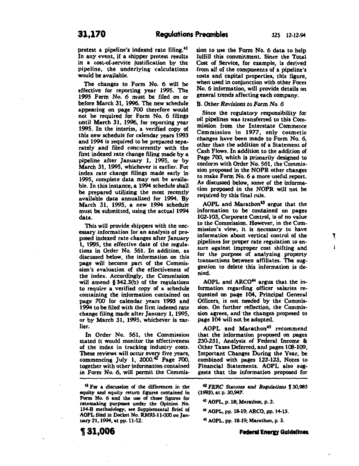protest a pipeline's indexed rate filing.<sup>41</sup> In any event, if a shipper protest results in a cost-of-service justification by the pipeline, the underlying calculations would be available.

The changes to Form No. 6 will be effective for reporting year 1995. The 1995 Form No. 6 must be filed on or before March 31, 1996. The new schedule appearing on page *700* therefore would not be required for Form No. 6 filings until March 31, 1996, for reporting year 1995. In the interim, a verified copy of this new schedule for calendar years 1993 and 1994 is required to be prepared separately and filed concurrently with the first indexed rate change filing made by a pipeline after January 1, 1995, or by March 31, 1995, whichever is earlier. For index rate change filings made early in 1995, complete data may not be available. In this instance, a 1994 schedule shall be prepared utilizing the most recently available data annualized for 1994. By March 31, 1995, a new 1994 schedule must be submitted, using the actual 1994 data.

This will provide shippers with the necessary information for an analysis of proposed indexed rate changes after January 1, 1995, the effective date of the regulations in Order No. 561. In addition, as discussed below, the information on this page will become part of the Commission's evaluation of the effectiveness of the index. Accordingly, the Commission will amend § 342.3(b) of the regulations to require a verified copy of a schedule containing the information contained on page 700 for calendar years 1993 and 1994 to be filed with the first indexed rate change filing made after January 1, 1995, or by March 31, 1995, whichever is earlier.

In Order No. 561, the Commission stated it would monitor the effectiveness of the index in tracking industry costs. These reviews will occur every five years, commencing July 1, 2000.42 Page 700, together with other information contained in Form No. 6, will permit the Commis-

41 For a discussion of the differences in the equity and equity return fisures contained in Form No. 6 and the use of those figures for ratemaking purposes under the Opinion No. 154-B methodology, see Supplemental Brief of AOPL filed in Docket No. RM93-11-000 on January 21, 1994, at pp. 11-12.

, **31,006** 

sion to use the Form No. 6 data to help fulfill this commitment. Since the Total Cost of Service, for example, is derived from all of the components of a pipeline's costs and capital properties, this figure, when used in conjunction with other Form No. 6 information, will provide details on general trends affecting each company.

#### B. *Other Revisions to Form No. 6*

Since the regulatory responsibility for oil pipelines was transferred to this Commission from the Interstate Commerce Commission in *1977,* only cosmetic changes have been made to Form No.6, other than the addition of a Statement of Cash Flows. In addition to the addition of Page 700, which is primarily designed to conform with Order No. 561, the Commission proposed in the NOPR other changes to make Form No. 6 a more useful report. As discussed below, some of the information proposed in the NOPR will not be required by this final rule.

AOPL and Marathon<sup>43</sup> argue that the information to be contained on pages 102-103, Corporate Control, is of no value to the Commission. However, in the Commission's view, it is necessary to have information about vertical control of the pipelines for proper rate regulation to ensure against improper cost shifting and for the purpose of analyzing property transactions between affiliates. The suggestion to delete this information is denied.

Ţ

AOPL and ARCO<sup>44</sup> argue that the information regarding officer salaries requested on page 104, Principal General Officers, is not needed by the Commission. On further reflection, the Commission agrees, and the changes. proposed to page 104 will not be adopted.

AOPL and Marathon<sup>45</sup> recommend that the information proposed on pages 230-231, Analysis of Federal Income & Other Taxes Deferred, and pages 108-109, Important Changes During the Year, be combined with pages 122-123, Notes to Financial Statements. AOPL also suggests that the information proposed for

<sup>42</sup> FERC Statutes and Regulations 130,985 (1993), at p. 30,947.

<sup>43</sup>AOPL, p. 18; Marathon, p. 3.

44 AOPL, pp. 18-19; ARCO, pp. 14-15.

45 AOPL, pp. 18-19; Marathon, p. 3.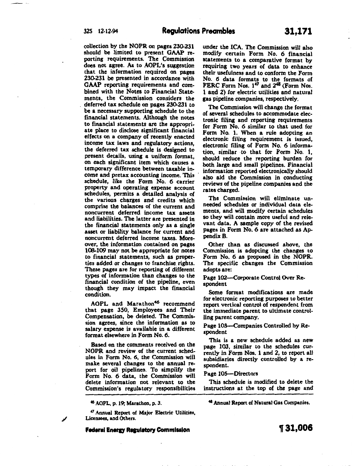collection by the NOPR on pages 230-231 should be limited to present GAAP reporting requirements. The Commission does not agree. As to AOPL's suggestion that the information required on pages 230-231 be presented in accordance with GAAP reporting requirements and combined with the Notes to Financial State-<br>ments, the Commission considers the deferred tax schedule on pages 230-231 to be a necessary supporting schedule to the financial statements. Although the notes to financial statements are the appropriate place to disclose significant financial effects on a company of recently enacted income tax laws and regulatory actions, the deferred tax schedule is designed to present details, using a uniform format, on each significant item which causes a temporary difference between taxable income and pretax accounting income. This schedule, like the Form No. 6 carrier property and operating expense account schedules, permits a detailed analysis of the various charges and credits which comprise the balances of the current and noncurrent deferred income tax assets and liabilities. The latter are presented in the financial statements only as a single asset or liability balance for current and noncurrent deferred income taxes. Moreover, the information contained on pages 108-109 may not be appropriate for notes to financial statements, such as properties added or changes to franchise rights. These pages are for reporting of different types of information than changes to the financial condition of the pipeline, even though they may impact the financial condition.

AOPL and Marathon<sup>46</sup> recommend that page 350, Employees and Their Compensation, be deleted. The Commission agrees, since the information as to salary expense is available in a different format elsewhere in Form No. 6.

Based on the comments received on the NOPR and review of the current schedules in Form No.6, the Commission will make several changes to the annual report for oil pipelines. To simplify the Form No. 6 data, the Commission will delete information not relevant to the Commission's regulatory responsibilities

*•1* Annual Report of Major Electric Utilities, Licensees. and Others.

**Federal Energy Regulatory Commission** 

under the ICA. The Commission will also modify certain Form No. 6 financial statements to a comparative format by requiring two years of data to enhance their usefulness and to conform the Form No. 6 data formats to the formats of FERC Form Nos. 1<sup>47</sup> and 2<sup>48</sup> (Form Nos. 1 and 2) for electric utilities and natural gas pipeline companies, respectively.

The Commission will change the format of several schedules to accommodate electronic filing and reporting requirements for Form No. 6 similar to that used for Form No. 1. When a rule adopting an electronic filing requirement is issued, electronic filing of Form No. 6 information, similar ·to that for Form No. 1, should reduce the reporting burden for both large and small pipelines. Financial information reported electronically should also aid the Commission in conducting reviews of the pipeline companies and the rates charged.

The Commission will eliminate unneeded schedules or individual data elements, and will modify certain schedules so they will contain more useful and relevant data. A sample copy of the revised pages in Form No. 6 are attached as Appendix B.

Other than as discussed above, the Commission is adopting the changes to Form No. 6 as proposed in the NOPR. The specific changes the Commission adopts are:

Page 102-Corporate Control Over Respondent

Some format modifications are made for electronic reporting purposes to better report vertical control of respondent from the immediate parent to ultimate controlling parent company.

Page 103--Companies Controlled by Respondent

This is a new schedule added as new page 103, similar to the schedules currently in Form Nos. 1 and 2, to report all subsidiaries directly controlled by a respondent.

#### Page 105-Directors

This schedule is modified to delete the instructions at the top of the page and

48 Annual Report of Natural Gas Companies.

<sup>46</sup>AOPL, p. 19; Marathon, p. 3.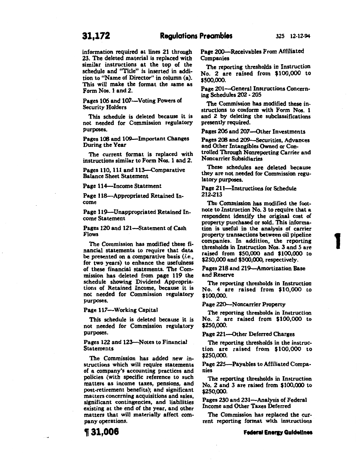information required at lines 21 through 23. The deleted material is replaced with similar instructions at the top of the schedule and "Title" is inserted in addition to "Name of Director" in column (a). This will make the format the same as Form Nos. 1 and 2.

Pages 106 and 107-Voting Powers of Security Holders

This schedule is deleted because it is not needed for Commission regulatory purposes.

Pages 108 and 109--Important Changes During the Year

The current format is replaced with instructions similar to Form Nos. 1 and 2.

Pages 110, 111 and 113-Comparative Balance Sheet Statement

Page 114-Income Statement

Page 118-Appropriated Retained Income

Page 119-Unappropriated Retained Income Statement

Pages 120 and 121-Statement of Cash Flows

The Commission has modified these financial statements to require that data be presented on a comparative basis (i.e., for two years) to enhance the usefulness of these financial statements. The Commission has deleted from page 119 the schedule showing Dividend Appropriations of Retained Income, because it is not needed for Commission regulatory purposes.

Page 117-Working Capital

This schedule is deleted because it is not needed for Commission regulatory purposes.

Pages 122 and 123--Notes to Financial Statements

The Commission has added new instructions which will require statements of a company's accounting practices and policies (with specific reference to such matters as income taxes, pensions, and post-retirement benefits); and significant matters concerning acquisitions and sales, significant contingencies, and liabilities existing at the end of the year, and other matters that will materially affect company operations.

**1131,006** 

Page 200-Receivables From Affiliated Companies

The reporting thresholds in Instruction No. 2 are raised from \$100,000 to \$500,000.

Page 201-General Instructions Concerning Schedules 202 - 205

The Commission has modified these instructions to conform with Form Nos. 1 and 2 by deleting the subclassifications presently required.

Pages 206 and 207-Other Investments

Pages 208 and 209-Securities, Advances and Other Intangibles Owned or Controlled Through Nonreporting Carrier and Noncarrier Subsidiaries

These schedules are deleted because they are not needed for Commission regulatory purposes.

Page 211-Instructions for Schedule 212-213

The Commission has modified the footnote to Instruction No.3 to require that a respondent identify the original cost of property purchased or sold. This information is useful in the analysis of carrier property transactions between oil pipeline companies. In addition, the reporting thresholds in Instruction Nos. 3 and 5 are raised from \$50,000 and \$100,000 to \$250,000 and \$500,000, respectively.

**1** 

Pages 218 and 219-Amortization Base and Reserve

The reporting thresholds in Instruction No. 4 are raised from \$10,000 to \$100,000.

Page 220-Noncarrier Property

The reporting thresholds in Instruction No. 2 are raised from \$100,000 to \$250,000.

Page 221-Other Deferred Charges

The reporting thresholds in the instruction are raised from \$100,000 to \$250,000.

Page 225-Payables to Affiliated Companies

The reporting thresholds in Instruction No. 2 and 3 are raised from \$100,000 to \$250,000.

Pages 230 and 231-Analysis of Federal Income and Other Taxes Deferred

The Commission has replaced the current reporting format with instructions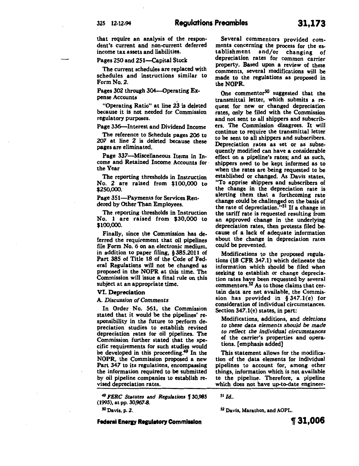Pages 250 and 251-Capital Stock

The current schedules are replaced with schedules and instructions similar to Form No.2.

Pages 302 through 304-Operating Expense Accounts

"Operating Ratio" at line 23 is deleted because it is not needed for Commission regulatory purposes.

Page 336-Interest and Dividend Income

The reference to Schedule pages 206 to 207 at line 2 is deleted because these pages are eliminated.

Page 337-Miscellaneous Items in Income and Retained Income Accounts for · the Year

The reporting thresholds in Instruction No. 2 are raised from \$100,000 to \$250,000.

Page 351-Payments for Services Rendered by Other Than Employees.

The reporting thresholds in Instruction No. 1 are raised from \$30,000 to \$100,000.

Finally, since the Commission has deferred the requirement that oil pipelines file Form No. 6 on an electronic medium, in addition to paper filing, § 385.2011 of Part 385 of Title 18 of the Code of Federal Regulations will not be changed as proposed in the NOPR at this time. The Commission will issue a final rule on this subject at an appropriate time.

#### VI. Depreciation

A. *Discussion of Comments* 

In Order No. 561, the Commission stated that it would be the pipelines' responsibility in the future to perform depreciation studies to establish revised depreciation rates for oil pipelines. The Commission further stated that the specific requirements for such studies would be developed in this proceeding.<sup>49</sup> In the NOPR, the Commission proposed a new Part 347 to its regulations, encompassing the information required to be submitted by oil pipeline companies to establish revised depreciation rates.

<sup>49</sup>*FERC Statutes and Replations* f 30,985 (1993), at pp. 30,967-8.

so Davis, p. 2.

**Federal Energy Regulatory Commission** 

Several commentors provided comments concerning the process for the es-<br>tablishment and/or changing of tablishment and/or depreciation rates for common carrier property. Based upon a review of these comments, several modifications will be made to the regulations as proposed in the NOPR.

One commentor<sup>50</sup> suggested that the transmittal letter, which submits a request for new or changed depreciation rates, only be filed with the Commission and not sent to all shippers and subscribers. The Commission disagrees. It will continue to require the transmittal letter to be sent to all shippers and subscribers. Depreciation rates as set or as subsequently modified can have a considerable effect on a pipeline's rates; and as such, shippers need to be kept informed as to when the rates are being requested to be established or changed. As Davis states, "To apprise shippers and subscribers of the change in the depreciation rate is alerting them that a forthcoming rate change could be challenged on the basis of the rate of depreciation."SI If a change in the tariff rate is requested resulting from an approved change in the underlying depreciation rates, then protests filed because of a lack of adequate information about the change in depreciation rates could be prevented.

Modifications to the proposed regulations (18 CFR 347.1) which delineate the information which should be filed when seeking to establish or change depreciation rates have been requested by several commentors.<sup>52</sup> As to those claims that certain data are not available, the Commission has provided in § 347.1(e) for consideration of individual circumstances. Section 347.1(e) states, in part:

Modifications, additions, and *deletions to these data elements should be made to reflect the individual circumstances*  of the carrier's properties and operations. [emphasis added]

This statement allows for the modification of the data elements for individual pipelines to account for, among other things, information which is not available to the pipeline. Therefore, a pipeline which does not have up-to-date engineer-

<sup>51</sup>*Id ..* 

52 Davis, Marathon, and AOPL.

**1f 31,006**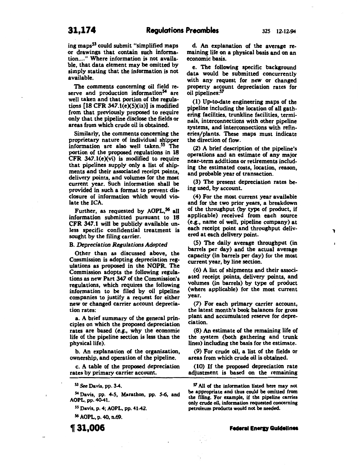l

 $\mathbf{I}$ 

ing maps53 could submit "simplified maps or drawings that contain such information...." Where information is not available, that data element may be omitted by simply stating that the information is not available.

The comments concerning oil field reserve and production information<sup>54</sup> are well taken and that portion of the regulations  $[18 \text{ CFR } 347.1(e)(5)(ix)]$  is modified from that previously proposed to require only that the pipeline disclose the fields or areas from which crude oil is obtained.

Similarly, the comments concerning the proprietary nature of individual shipper information are also well taken.<sup>55</sup> The portion of the proposed regulations in 18 CFR 347.1(e)(vi) is modified to require that pipelines supply only a list of shipments and their associated receipt points, delivery points, and volumes for the most current year. Such information shall be provided in such a format to prevent disclosure of information which would violate the ICA.

Further, as requested by AOPL,<sup>56</sup> all information submitted pursuant to 18 CFR 347.1 will be publicly available unless specific confidential treatment is sought by the filing carrier.

#### B. *Depreciation Regulations Adopted*

Other than as discussed above, the Commission is adopting depreciation regulations as proposed in the NOPR. The Commission adopts the following regulations as new Part 347 of the Commission's regulations, which requires the following information to be filed by oil pipeline companies to justify a request for either new or changed carrier account depreciation rates:

a. A brief summary of the general principles on which the proposed depreciation rates are based (e.g., why the economic life of the pipeline section is less than the physical life).

b. An explanation of the organization, ownership, and operation of the pipeline.

c. A table of the proposed depreciation rates by primary carrier account.

53 See Davis, pp. 3-4.

54 Davis, pp. 4-5, Marathon, pp. *S-6,* and AOPL, pp. 4041.

55 Davis, p. 4; AOPL, pp. 41-42.

<sup>56</sup>AOPL, p. 40, n.69.

d. An explanation of the average remaining life on a physical basis and on an economic basis.

e. The following specific background data would be submitted concurrently with any request for new or changed property account depreciation rates for oil pipelines:57

(1) Up-to-date engineering maps of the pipeline including the location of all gathering facilities, trunkline facilities, terminals, interconnections with other pipeline systems, and interconnections with refineries/plants. These maps must indicate the direction of flow.

(2) A brief description of the pipeline's operations and an estimate of any major near-term additions or retirements including the estimated costs, location, reason, and probable year of transaction.

(3) The present depreciation rates being used, by account.

(4) For the most current year available and for the two prior years, a breakdown of the throughput (by type of product, if applicable) received from each source (e.g., name of well, pipeline company) at each receipt point and throughput delivered at each delivery point.

(5) The daily average throughput (in barrels per day) and the actual average capacity (in barrels per day) for the most current year, by line section.

(6) A list of shipments and their associated receipt points, delivery points, and volumes (in barrels) by type of product (where applicable) for the most current year.

(7) For each primary carrier account, the latest month's book balances for gross plant and accumulated reserve for depreciation.

(8) An estimate of the remaining life of the system (both gathering and trunk lines) including the basis for the estimate.

(9) For crude oil, a list of the fields or areas from which crude oil is obtained.

(10) If the proposed depreciation rate adjustment is based on the remaining

57 All of the information listed here may not be appropriate and thus could be omitted from the filing. For example, if the pipeline carries only crude oil, information requested concerning petroleum products would not be needed.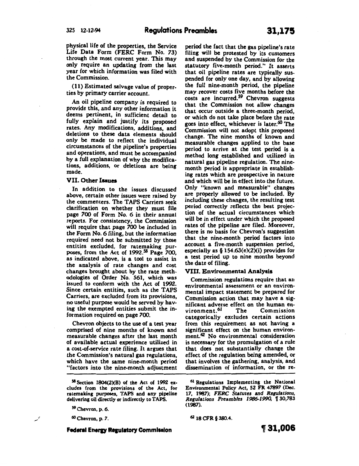physical life of the properties, the Service Life Data Form (FERC Form No. 73) through the most current year. This may only require an updating from the last year for which information was filed with the Commission.

(11) Estimated salvage value of properties by primary carrier account.

An oil pipeline company is required to provide this, and any other information it deems pertinent, in sufficient detail to fully explain and justify its proposed rates. Any modifications, additions, and deletions to these data elements should only be made to reflect the individual circumstances of the pipeline's properties and operations, and must be accompanied by a full explanation of why the modifications, additions, or deletions are being made.

#### VII. Other Issues

In addition to the issues discussed above, certain other issues were raised by the commenters. The TAPS Carriers seek clarification on whether they must file page 700 of Form No. 6 in their annual reports. For consistency, the Commission will require that page 700 be included in the Form No.6 filing, but the information required need not be submitted by those entities excluded, for ratemaking purposes, from the Act of 1992.<sup>58</sup> Page 700, as indicated above, is a tool to assist in the analysis of rate changes and cost changes brought about by the rate methodologies of Order No. 561, which was issued to conform with the Act of 1992. Since certain entities, such as the TAPS Carriers, are excluded from its provisions, no useful purpose would be served by having the exempted entities submit the information required on page 700.

Chevron objects to the use of a test year comprised of nine months of known and measurable changes after the last month of available actual experience utilized in a cost-of-service rate filing. It argues that the Commission's natural gas regulations, which have the same nine-month period "factors into the nine-month adjustment

*<sup>60</sup>*Chevron, p. *7.* 

**Federal Energy Regulatory Commission** 

period the fact that the gas pipeline's rate filing will be protested by its customers and suspended by the Commission for the statutory five-month period." It asserts that oil pipeline rates are typically suspended for only one day, and by allowing the full nine-month period, the pipeline may recover costs five months before the costs are incurred.<sup>59</sup> Chevron suggests that the Commission not allow changes that occur outside a three-month period, or which do not take place before the rate goes into effect, whichever is later.<sup>60</sup> The Commission will not adopt this proposed change. The nine months of known and measurable changes applied to the base period to arrive at the test period is a method long established and utilized in natural gas pipeline regulation. The ninemonth period is appropriate in establishing rates which are prospective in nature and which will be in effect into the future. Only "known and measurable" changes are properly allowed to be included. By including these changes, the resulting test period correctly reflects the best projection of the actual circumstances which will be in effect under which the proposed rates of the pipeline are filed. Moreover, there is no basis for Chevron's suggestion that the nine-month period factors into account a five-month suspension period, especially as  $§$  154.63(e)(2)(i) provides for a test period up to nine months beyond the date of filing.

## VIII. Environmental Analysis

Commission regulations require that an environmental assessment or an environmental impact statement be prepared for Commission action that may have a significant adverse effect on the human environment.<sup>61</sup> The Commission vironment.<sup>61</sup> categorically excludes certain actions from this requirement as not having a significant effect on the human environment.<sup>62</sup> No environmental consideration is necessary for the promulgation of a rule that does not substantially change the effect of the regulation being amended, or that involves the gathering, analysis, and dissemination of information, or the re-

<sup>58</sup> Section 1804(2XB) of the Act of 1992 excludes from the provisions of the Act, for ratemaking purposes, TAPS and any pipeline delivering oil directly or indirectly to TAPS.

<sup>&</sup>lt;sup>59</sup> Chevron, p. 6

<sup>61</sup> Regulations Implementing the National Environmental Policy Act, 52 FR *47897* (Dec. 17, 1987); *FERC Statutes* and *Regulations, Regulations Preambles 1986-1990,* f 30,783 (1987).

<sup>6</sup>Z 18 CFR § 380.4.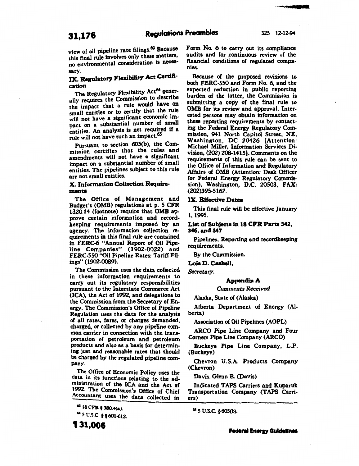view of oil pipeline rate filings.63 Because this final rule involves only these matters, no environmental consideration is necessary.

# IX. Regulatory Flexibility Act Certifi· cation

The Regulatory Flexibility Act<sup>64</sup> generally requires the Commission to describe the impact that a rule would have on small entities or to certify that the rule will not have a significant economic impact on a substantial number of small entities. An analysis is not required if a rule will not have such an impact.<sup>65</sup>

Pursuant to section 60S(b), the Commission certifies that the rules and amendments will not have a significant impact on a substantial number of small entities. The pipelines subject to this rule are not small entities.

# X. Information Collection Requirements

The Office of Management and Budget's (OMB) regulations at p. 5 CFR 1320.14 (footnote) require that OMB approve certain information and recordkeeping requirements imposed by an agency. The information collection requirements in this final rule are contained in FERC-6 "Annual Report of Oil Pipeline Companies" (1902-0022) and FERC-550 "Oil Pipeline Rates: Tariff Filings" (1902-0089).

The Commission uses the data collected in these information requirements to carry out its regulatory responsibilities pursuant to the Interstate Commerce Act (ICA), the Act of 1992, and delegations to the Commission from the Secretary of Energy. The Commission's Office of Pipeline Regulation uses the data for the analysis of all rates, fares, or charges demanded, charged, or collected by any pipeline common carrier in connection with the transportation of petroleum and petroleum products and also as a basis for determining just and reasonable rates that should be charged by the regulated pipeline company.

The Office of Economic Policy uses the data in its functions relating to the administration of the ICA and the Act of 992 · The Commission's Office of Chief Accountant uses the data collected in

131,006

Form No. 6 to carry out its compliance audits and for continuous review of the financial conditions of regulated companies.

Because of the proposed revisions to both FERC-550 and Form No. 6, and the expected reduction in public reporting burden of the latter, the Commission is submitting a copy of the final rule to OMB for its review and approval. Interested persons may obtain information on these reporting requirements by contacting the Federal Energy Regulatory Commission, 941 North Capitol Street, NE,<br>Washington, DC 20426 [Attention: Michael Miller, Information Services Division,  $(202)$  208-1415]. Comments on the requirements of this rule can be sent to the Office of Information and Regulatory Affairs of OMB (Attention: Desk Officer for Federal Energy Regulatory Commission), Washington, D.C. 20503, FAX: (202)395-5 167.

# IX. Effective Datea

This final rule will be effective January 1, 1995.

Liat of Subjecta in 18 CPR Parte 342, 346, and 347

Pipelines, Reporting and recordkeeping requirements.

By the Commission.

Loia D. CaaheU,

*Secretary.* 

#### Appendix A

*Comments Received* 

Alaska, State of (Alaska)

Alberta Department of Energy (Alberta)

Association of Oil Pipelines (AOPL)

ARCO Pipe Line Company and Four Comers Pipe Line Company (ARCO)

Buckeye Pipe Line Company, L.P. (Buckeye)

Chevron U.S.A. Products Company (Chevron)

Davis, Glenn E. (Davis)

Indicated TAPS Carriers and Kuparuk Transportation Company (TAPS Carriers)

<sup>65</sup>*S* U.S.C. §60S(b).

<sup>61 18</sup> CFR <sup>f</sup>380.4(a). 61 *s* u.s.c. f 1601-612.